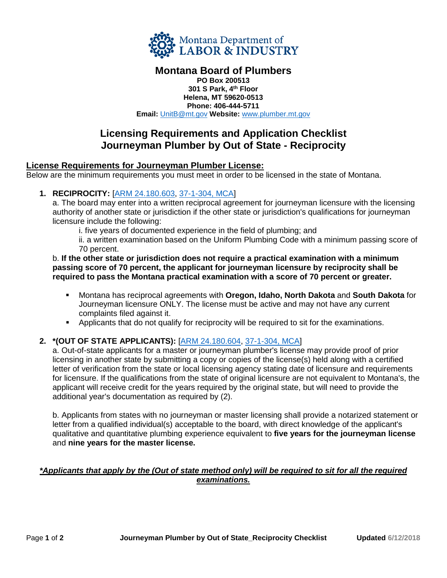

# **Montana Board of Plumbers**

**PO Box 200513 301 S Park, 4th Floor Helena, MT 59620-0513 Phone: 406-444-5711 Email:** [UnitB@mt.gov](mailto:UnitB@mt.gov) **Website:** [www.plumber.mt.gov](http://www.plumber.mt.gov/)

# **Licensing Requirements and Application Checklist Journeyman Plumber by Out of State - Reciprocity**

### **License Requirements for Journeyman Plumber License:**

Below are the minimum requirements you must meet in order to be licensed in the state of Montana.

#### **1. RECIPROCITY:** [\[ARM 24.180.603,](http://www.mtrules.org/gateway/RuleNo.asp?RN=24%2E180%2E603) [37-1-304, MCA\]](http://leg.mt.gov/bills/mca/title_0370/chapter_0010/part_0030/section_0040/0370-0010-0030-0040.html)

a. The board may enter into a written reciprocal agreement for journeyman licensure with the licensing authority of another state or jurisdiction if the other state or jurisdiction's qualifications for journeyman licensure include the following:

i. five years of documented experience in the field of plumbing; and

ii. a written examination based on the Uniform Plumbing Code with a minimum passing score of 70 percent.

#### b. **If the other state or jurisdiction does not require a practical examination with a minimum passing score of 70 percent, the applicant for journeyman licensure by reciprocity shall be required to pass the Montana practical examination with a score of 70 percent or greater.**

- Montana has reciprocal agreements with **Oregon, Idaho, North Dakota** and **South Dakota** for Journeyman licensure ONLY. The license must be active and may not have any current complaints filed against it.
- **•** Applicants that do not qualify for reciprocity will be required to sit for the examinations.

#### **2. \*(OUT OF STATE APPLICANTS):** [\[ARM 24.180.604,](http://www.mtrules.org/gateway/RuleNo.asp?RN=24%2E180%2E604) [37-1-304, MCA\]](http://leg.mt.gov/bills/mca/title_0370/chapter_0010/part_0030/section_0040/0370-0010-0030-0040.html)

a. Out-of-state applicants for a master or journeyman plumber's license may provide proof of prior licensing in another state by submitting a copy or copies of the license(s) held along with a certified letter of verification from the state or local licensing agency stating date of licensure and requirements for licensure. If the qualifications from the state of original licensure are not equivalent to Montana's, the applicant will receive credit for the years required by the original state, but will need to provide the additional year's documentation as required by (2).

b. Applicants from states with no journeyman or master licensing shall provide a notarized statement or letter from a qualified individual(s) acceptable to the board, with direct knowledge of the applicant's qualitative and quantitative plumbing experience equivalent to **five years for the journeyman license** and **nine years for the master license.**

#### *\*Applicants that apply by the (Out of state method only) will be required to sit for all the required examinations.*